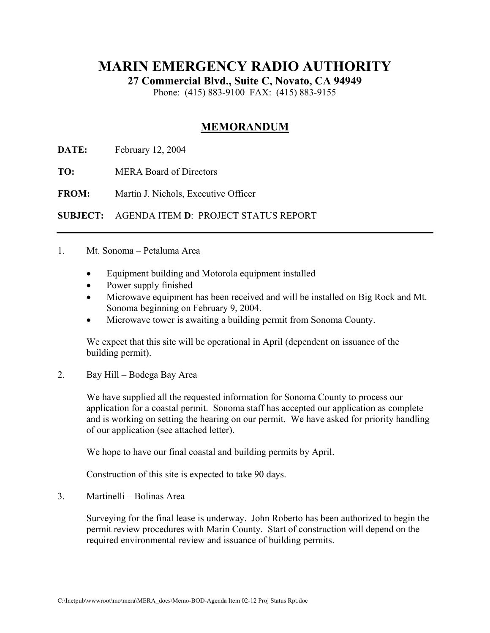## **MARIN EMERGENCY RADIO AUTHORITY**

**27 Commercial Blvd., Suite C, Novato, CA 94949** 

Phone: (415) 883-9100 FAX: (415) 883-9155

## **MEMORANDUM**

**DATE:** February 12, 2004

**TO:** MERA Board of Directors

**FROM:** Martin J. Nichols, Executive Officer

**SUBJECT:** AGENDA ITEM **D**: PROJECT STATUS REPORT

## 1. Mt. Sonoma – Petaluma Area

- Equipment building and Motorola equipment installed
- Power supply finished
- Microwave equipment has been received and will be installed on Big Rock and Mt. Sonoma beginning on February 9, 2004.
- Microwave tower is awaiting a building permit from Sonoma County.

We expect that this site will be operational in April (dependent on issuance of the building permit).

2. Bay Hill – Bodega Bay Area

We have supplied all the requested information for Sonoma County to process our application for a coastal permit. Sonoma staff has accepted our application as complete and is working on setting the hearing on our permit. We have asked for priority handling of our application (see attached letter).

We hope to have our final coastal and building permits by April.

Construction of this site is expected to take 90 days.

3. Martinelli – Bolinas Area

Surveying for the final lease is underway. John Roberto has been authorized to begin the permit review procedures with Marin County. Start of construction will depend on the required environmental review and issuance of building permits.